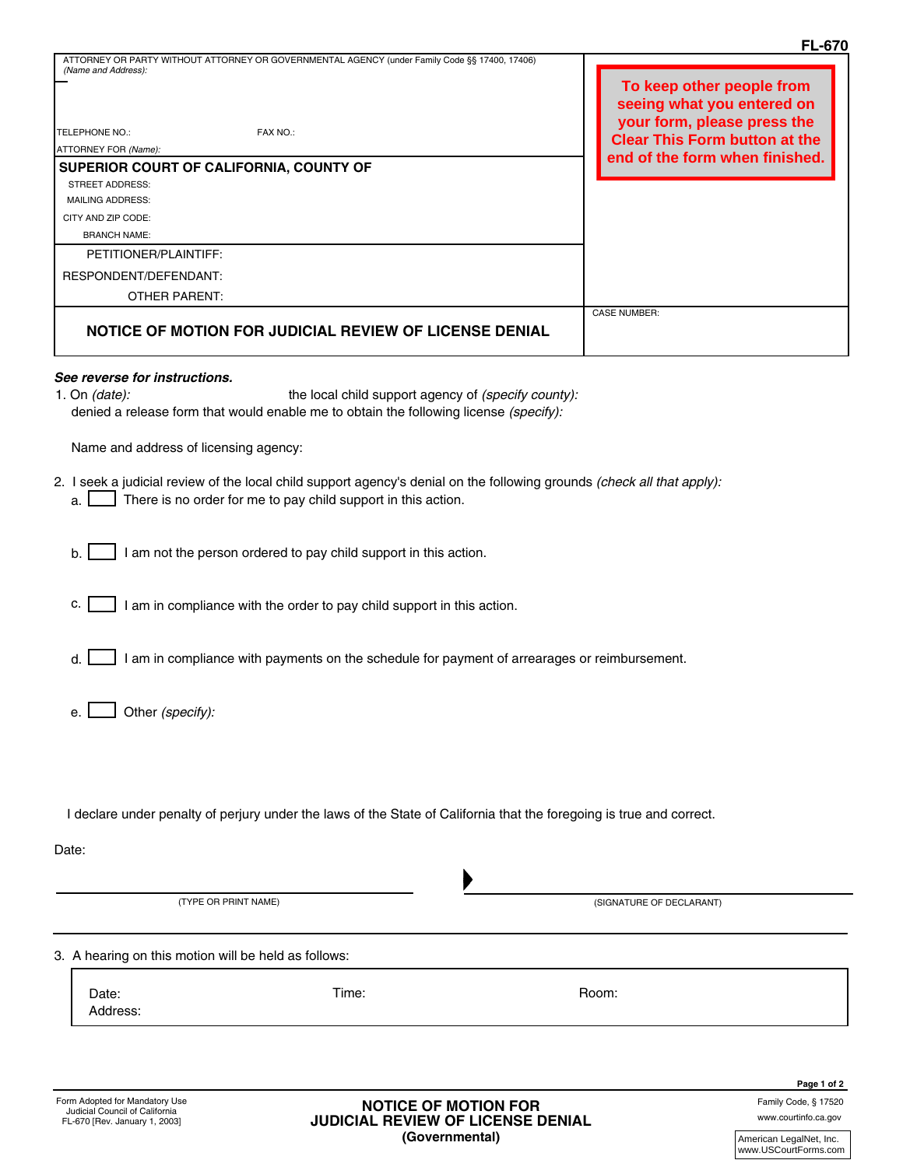|                                                                                                                                                                                                                                            | <b>FL-670</b>                                           |
|--------------------------------------------------------------------------------------------------------------------------------------------------------------------------------------------------------------------------------------------|---------------------------------------------------------|
| ATTORNEY OR PARTY WITHOUT ATTORNEY OR GOVERNMENTAL AGENCY (under Family Code §§ 17400, 17406)<br>(Name and Address):                                                                                                                       | To keep other people from<br>seeing what you entered on |
| <b>TELEPHONE NO.:</b><br>FAX NO.:                                                                                                                                                                                                          | your form, please press the                             |
| ATTORNEY FOR (Name):                                                                                                                                                                                                                       | <b>Clear This Form button at the</b>                    |
| SUPERIOR COURT OF CALIFORNIA, COUNTY OF                                                                                                                                                                                                    | end of the form when finished.                          |
| STREET ADDRESS:                                                                                                                                                                                                                            |                                                         |
| <b>MAILING ADDRESS:</b>                                                                                                                                                                                                                    |                                                         |
| CITY AND ZIP CODE:                                                                                                                                                                                                                         |                                                         |
| <b>BRANCH NAME:</b>                                                                                                                                                                                                                        |                                                         |
| PETITIONER/PLAINTIFF:                                                                                                                                                                                                                      |                                                         |
| RESPONDENT/DEFENDANT:                                                                                                                                                                                                                      |                                                         |
| <b>OTHER PARENT:</b>                                                                                                                                                                                                                       |                                                         |
| NOTICE OF MOTION FOR JUDICIAL REVIEW OF LICENSE DENIAL                                                                                                                                                                                     | <b>CASE NUMBER:</b>                                     |
| See reverse for instructions.<br>the local child support agency of (specify county):<br>1. On $(data)$ :<br>denied a release form that would enable me to obtain the following license (specify):<br>Name and address of licensing agency: |                                                         |
| 2. I seek a judicial review of the local child support agency's denial on the following grounds (check all that apply):<br>There is no order for me to pay child support in this action.<br>a.                                             |                                                         |
| I am not the person ordered to pay child support in this action.<br>b.                                                                                                                                                                     |                                                         |
| c.<br>I am in compliance with the order to pay child support in this action.                                                                                                                                                               |                                                         |
| I am in compliance with payments on the schedule for payment of arrearages or reimbursement.<br>d.                                                                                                                                         |                                                         |
| Other (specify):<br>е.                                                                                                                                                                                                                     |                                                         |
|                                                                                                                                                                                                                                            |                                                         |

I declare under penalty of perjury under the laws of the State of California that the foregoing is true and correct.

Date:

| (TYPE OR PRINT NAME)                                 |       | (SIGNATURE OF DECLARANT) |  |  |
|------------------------------------------------------|-------|--------------------------|--|--|
| 3. A hearing on this motion will be held as follows: |       |                          |  |  |
| Date:<br>Address:                                    | Time: | Room:                    |  |  |

www.courtinfo.ca.gov